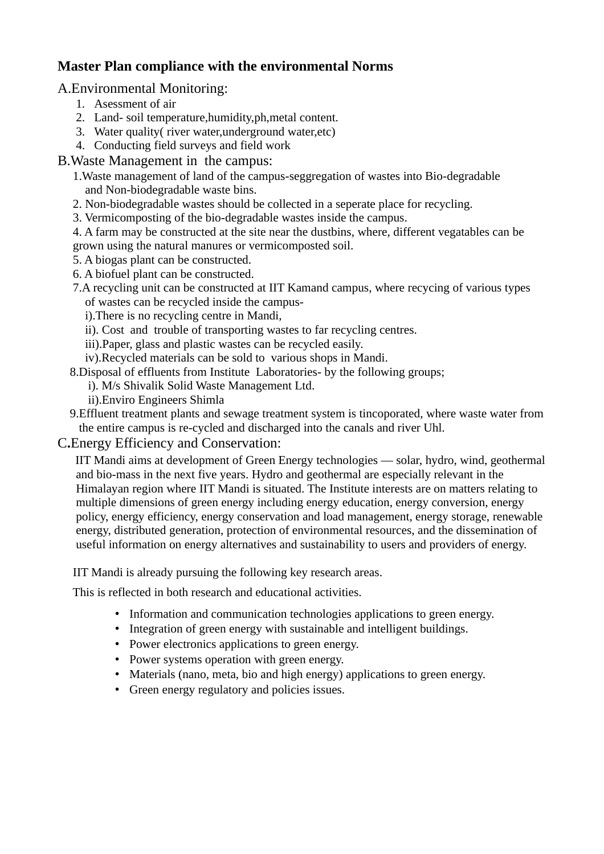## **Master Plan compliance with the environmental Norms**

## A.Environmental Monitoring:

- 1. Asessment of air
- 2. Land- soil temperature,humidity,ph,metal content.
- 3. Water quality( river water,underground water,etc)
- 4. Conducting field surveys and field work

## B.Waste Management in the campus:

- 1.Waste management of land of the campus-seggregation of wastes into Bio-degradable and Non-biodegradable waste bins.
- 2. Non-biodegradable wastes should be collected in a seperate place for recycling.
- 3. Vermicomposting of the bio-degradable wastes inside the campus.
- 4. A farm may be constructed at the site near the dustbins, where, different vegatables can be grown using the natural manures or vermicomposted soil.
- 5. A biogas plant can be constructed.
- 6. A biofuel plant can be constructed.
- 7.A recycling unit can be constructed at IIT Kamand campus, where recycing of various types of wastes can be recycled inside the campus
	- i).There is no recycling centre in Mandi,
	- ii). Cost and trouble of transporting wastes to far recycling centres.
	- iii).Paper, glass and plastic wastes can be recycled easily.
	- iv).Recycled materials can be sold to various shops in Mandi.
- 8.Disposal of effluents from Institute Laboratories- by the following groups;
	- i). M/s Shivalik Solid Waste Management Ltd.
	- ii).Enviro Engineers Shimla
- 9.Effluent treatment plants and sewage treatment system is tincoporated, where waste water from the entire campus is re-cycled and discharged into the canals and river Uhl.

## C**.**Energy Efficiency and Conservation:

IIT Mandi aims at development of Green Energy technologies ― solar, hydro, wind, geothermal and bio-mass in the next five years. Hydro and geothermal are especially relevant in the Himalayan region where IIT Mandi is situated. The Institute interests are on matters relating to multiple dimensions of green energy including energy education, energy conversion, energy policy, energy efficiency, energy conservation and load management, energy storage, renewable energy, distributed generation, protection of environmental resources, and the dissemination of useful information on energy alternatives and sustainability to users and providers of energy.

IIT Mandi is already pursuing the following key research areas.

This is reflected in both research and educational activities.

- Information and communication technologies applications to green energy.
- Integration of green energy with sustainable and intelligent buildings.
- Power electronics applications to green energy.
- Power systems operation with green energy.
- Materials (nano, meta, bio and high energy) applications to green energy.
- Green energy regulatory and policies issues.